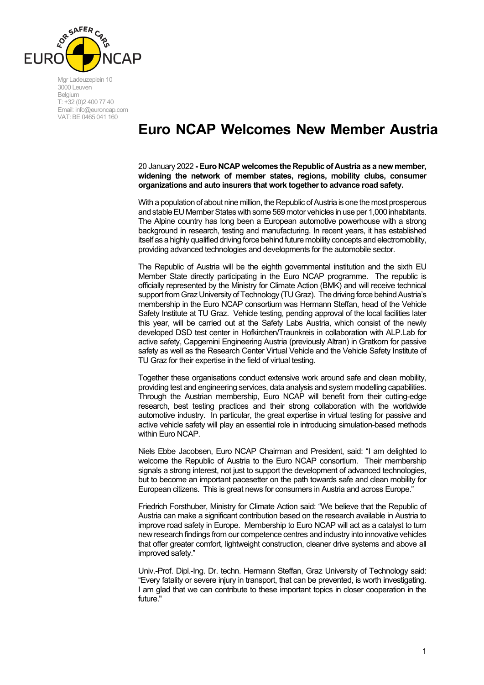

Mgr Ladeuzeplein 10 3000 Leuven Belgium T: +32 (0)2 400 77 40 Email: info@euroncap.com VAT: BE 0465 041 160

## **Euro NCAP Welcomes New Member Austria**

20 January 2022 **- Euro NCAP welcomes the Republic of Austria as a new member, widening the network of member states, regions, mobility clubs, consumer organizations and auto insurers that work together to advance road safety.**

With a population of about nine million, the Republic of Austria is one the most prosperous and stable EU Member States with some 569 motor vehicles in use per 1,000 inhabitants. The Alpine country has long been a European automotive powerhouse with a strong background in research, testing and manufacturing. In recent years, it has established itself as a highly qualified driving force behind future mobility concepts and electromobility, providing advanced technologies and developments for the automobile sector.

The Republic of Austria will be the eighth governmental institution and the sixth EU Member State directly participating in the Euro NCAP programme. The republic is officially represented by the Ministry for Climate Action (BMK) and will receive technical support from Graz University of Technology (TU Graz). The driving force behind Austria's membership in the Euro NCAP consortium was Hermann Steffan, head of the Vehicle Safety Institute at TU Graz. Vehicle testing, pending approval of the local facilities later this year, will be carried out at the Safety Labs Austria, which consist of the newly developed DSD test center in Hofkirchen/Traunkreis in collaboration with ALP.Lab for active safety, Capgemini Engineering Austria (previously Altran) in Gratkorn for passive safety as well as the Research Center Virtual Vehicle and the Vehicle Safety Institute of TU Graz for their expertise in the field of virtual testing.

Together these organisations conduct extensive work around safe and clean mobility, providing test and engineering services, data analysis and system modelling capabilities. Through the Austrian membership, Euro NCAP will benefit from their cutting-edge research, best testing practices and their strong collaboration with the worldwide automotive industry. In particular, the great expertise in virtual testing for passive and active vehicle safety will play an essential role in introducing simulation-based methods within Euro NCAP.

Niels Ebbe Jacobsen, Euro NCAP Chairman and President, said: "I am delighted to welcome the Republic of Austria to the Euro NCAP consortium. Their membership signals a strong interest, not just to support the development of advanced technologies, but to become an important pacesetter on the path towards safe and clean mobility for European citizens. This is great news for consumers in Austria and across Europe."

Friedrich Forsthuber, Ministry for Climate Action said: "We believe that the Republic of Austria can make a significant contribution based on the research available in Austria to improve road safety in Europe. Membership to Euro NCAP will act as a catalyst to turn new research findings from our competence centres and industry into innovative vehicles that offer greater comfort, lightweight construction, cleaner drive systems and above all improved safety."

Univ.-Prof. Dipl.-Ing. Dr. techn. Hermann Steffan, Graz University of Technology said: "Every fatality or severe injury in transport, that can be prevented, is worth investigating. I am glad that we can contribute to these important topics in closer cooperation in the future."